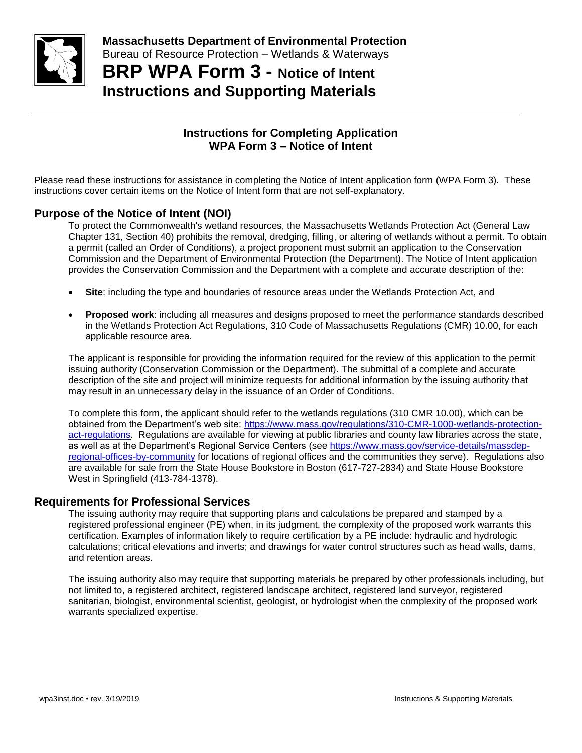

**BRP WPA Form 3 - Notice of Intent Instructions and Supporting Materials**

# **Instructions for Completing Application WPA Form 3 – Notice of Intent**

Please read these instructions for assistance in completing the Notice of Intent application form (WPA Form 3). These instructions cover certain items on the Notice of Intent form that are not self-explanatory.

# **Purpose of the Notice of Intent (NOI)**

To protect the Commonwealth's wetland resources, the Massachusetts Wetlands Protection Act (General Law Chapter 131, Section 40) prohibits the removal, dredging, filling, or altering of wetlands without a permit. To obtain a permit (called an Order of Conditions), a project proponent must submit an application to the Conservation Commission and the Department of Environmental Protection (the Department). The Notice of Intent application provides the Conservation Commission and the Department with a complete and accurate description of the:

- **Site**: including the type and boundaries of resource areas under the Wetlands Protection Act, and
- **Proposed work**: including all measures and designs proposed to meet the performance standards described in the Wetlands Protection Act Regulations, 310 Code of Massachusetts Regulations (CMR) 10.00, for each applicable resource area.

The applicant is responsible for providing the information required for the review of this application to the permit issuing authority (Conservation Commission or the Department). The submittal of a complete and accurate description of the site and project will minimize requests for additional information by the issuing authority that may result in an unnecessary delay in the issuance of an Order of Conditions.

To complete this form, the applicant should refer to the wetlands regulations (310 CMR 10.00), which can be obtained from the Department's web site: [https://www.mass.gov/regulations/310-CMR-1000-wetlands-protection](https://www.mass.gov/regulations/310-CMR-1000-wetlands-protection-act-regulations)[act-regulations.](https://www.mass.gov/regulations/310-CMR-1000-wetlands-protection-act-regulations) Regulations are available for viewing at public libraries and county law libraries across the state, as well as at the Department's Regional Service Centers (see [https://www.mass.gov/service-details/massdep](https://www.mass.gov/service-details/massdep-regional-offices-by-community)[regional-offices-by-community](https://www.mass.gov/service-details/massdep-regional-offices-by-community) for locations of regional offices and the communities they serve). Regulations also are available for sale from the State House Bookstore in Boston (617-727-2834) and State House Bookstore West in Springfield (413-784-1378).

## **Requirements for Professional Services**

The issuing authority may require that supporting plans and calculations be prepared and stamped by a registered professional engineer (PE) when, in its judgment, the complexity of the proposed work warrants this certification. Examples of information likely to require certification by a PE include: hydraulic and hydrologic calculations; critical elevations and inverts; and drawings for water control structures such as head walls, dams, and retention areas.

The issuing authority also may require that supporting materials be prepared by other professionals including, but not limited to, a registered architect, registered landscape architect, registered land surveyor, registered sanitarian, biologist, environmental scientist, geologist, or hydrologist when the complexity of the proposed work warrants specialized expertise.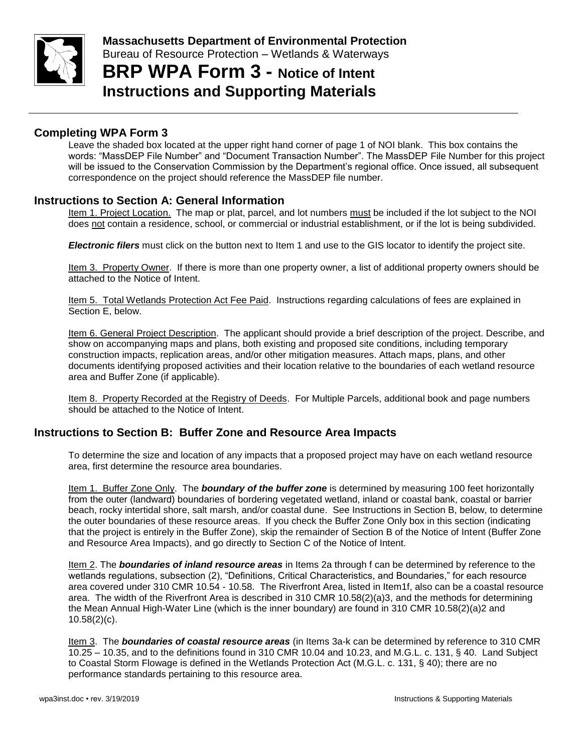

# **BRP WPA Form 3 - Notice of Intent Instructions and Supporting Materials**

# **Completing WPA Form 3**

Leave the shaded box located at the upper right hand corner of page 1 of NOI blank. This box contains the words: "MassDEP File Number" and "Document Transaction Number". The MassDEP File Number for this project will be issued to the Conservation Commission by the Department's regional office. Once issued, all subsequent correspondence on the project should reference the MassDEP file number.

## **Instructions to Section A: General Information**

Item 1. Project Location. The map or plat, parcel, and lot numbers must be included if the lot subject to the NOI does not contain a residence, school, or commercial or industrial establishment, or if the lot is being subdivided.

*Electronic filers* must click on the button next to Item 1 and use to the GIS locator to identify the project site.

Item 3. Property Owner. If there is more than one property owner, a list of additional property owners should be attached to the Notice of Intent.

Item 5. Total Wetlands Protection Act Fee Paid. Instructions regarding calculations of fees are explained in Section E, below.

Item 6. General Project Description. The applicant should provide a brief description of the project. Describe, and show on accompanying maps and plans, both existing and proposed site conditions, including temporary construction impacts, replication areas, and/or other mitigation measures. Attach maps, plans, and other documents identifying proposed activities and their location relative to the boundaries of each wetland resource area and Buffer Zone (if applicable).

Item 8. Property Recorded at the Registry of Deeds. For Multiple Parcels, additional book and page numbers should be attached to the Notice of Intent.

## **Instructions to Section B: Buffer Zone and Resource Area Impacts**

To determine the size and location of any impacts that a proposed project may have on each wetland resource area, first determine the resource area boundaries.

Item 1. Buffer Zone Only. The *boundary of the buffer zone* is determined by measuring 100 feet horizontally from the outer (landward) boundaries of bordering vegetated wetland, inland or coastal bank, coastal or barrier beach, rocky intertidal shore, salt marsh, and/or coastal dune. See Instructions in Section B, below, to determine the outer boundaries of these resource areas. If you check the Buffer Zone Only box in this section (indicating that the project is entirely in the Buffer Zone), skip the remainder of Section B of the Notice of Intent (Buffer Zone and Resource Area Impacts), and go directly to Section C of the Notice of Intent.

Item 2. The *boundaries of inland resource areas* in Items 2a through f can be determined by reference to the wetlands regulations, subsection (2), "Definitions, Critical Characteristics, and Boundaries," for each resource area covered under 310 CMR 10.54 - 10.58. The Riverfront Area, listed in Item1f, also can be a coastal resource area. The width of the Riverfront Area is described in 310 CMR 10.58(2)(a)3, and the methods for determining the Mean Annual High-Water Line (which is the inner boundary) are found in 310 CMR 10.58(2)(a)2 and 10.58(2)(c).

Item 3. The *boundaries of coastal resource areas* (in Items 3a-k can be determined by reference to 310 CMR 10.25 – 10.35, and to the definitions found in 310 CMR 10.04 and 10.23, and M.G.L. c. 131, § 40. Land Subject to Coastal Storm Flowage is defined in the Wetlands Protection Act (M.G.L. c. 131, § 40); there are no performance standards pertaining to this resource area.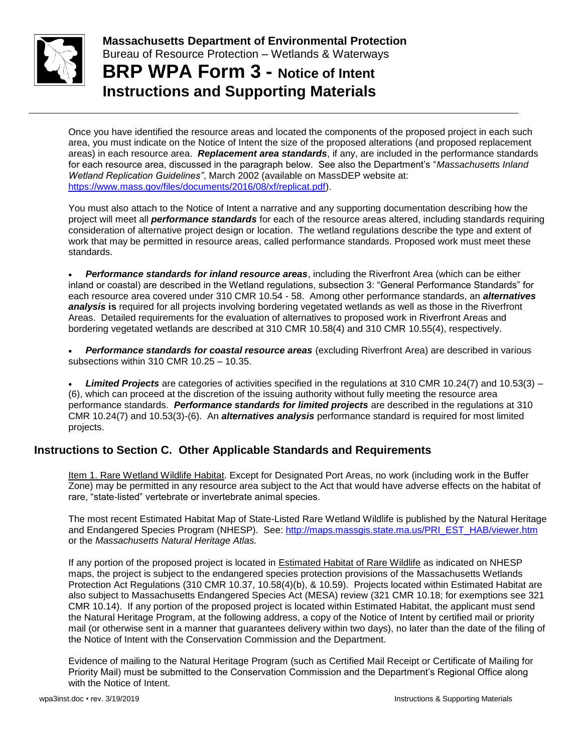

**Massachusetts Department of Environmental Protection**  Bureau of Resource Protection – Wetlands & Waterways **BRP WPA Form 3 - Notice of Intent**

**Instructions and Supporting Materials**

Once you have identified the resource areas and located the components of the proposed project in each such area, you must indicate on the Notice of Intent the size of the proposed alterations (and proposed replacement areas) in each resource area. *Replacement area standards*, if any, are included in the performance standards for each resource area, discussed in the paragraph below. See also the Department's "*Massachusetts Inland Wetland Replication Guidelines"*, March 2002 (available on MassDEP website at: [https://www.mass.gov/files/documents/2016/08/xf/replicat.pdf\)](https://www.mass.gov/files/documents/2016/08/xf/replicat.pdf).

You must also attach to the Notice of Intent a narrative and any supporting documentation describing how the project will meet all *performance standards* for each of the resource areas altered, including standards requiring consideration of alternative project design or location. The wetland regulations describe the type and extent of work that may be permitted in resource areas, called performance standards. Proposed work must meet these standards.

 *Performance standards for inland resource areas*, including the Riverfront Area (which can be either inland or coastal) are described in the Wetland regulations, subsection 3: "General Performance Standards" for each resource area covered under 310 CMR 10.54 - 58. Among other performance standards, an *alternatives analysis* **is** required for all projects involving bordering vegetated wetlands as well as those in the Riverfront Areas. Detailed requirements for the evaluation of alternatives to proposed work in Riverfront Areas and bordering vegetated wetlands are described at 310 CMR 10.58(4) and 310 CMR 10.55(4), respectively.

 *Performance standards for coastal resource areas* (excluding Riverfront Area) are described in various subsections within 310 CMR 10.25 – 10.35.

 *Limited Projects* are categories of activities specified in the regulations at 310 CMR 10.24(7) and 10.53(3) – (6), which can proceed at the discretion of the issuing authority without fully meeting the resource area performance standards. *Performance standards for limited projects* are described in the regulations at 310 CMR 10.24(7) and 10.53(3)-(6). An *alternatives analysis* performance standard is required for most limited projects.

# **Instructions to Section C. Other Applicable Standards and Requirements**

Item 1. Rare Wetland Wildlife Habitat. Except for Designated Port Areas, no work (including work in the Buffer Zone) may be permitted in any resource area subject to the Act that would have adverse effects on the habitat of rare, "state-listed" vertebrate or invertebrate animal species.

The most recent Estimated Habitat Map of State-Listed Rare Wetland Wildlife is published by the Natural Heritage and Endangered Species Program (NHESP). See: [http://maps.massgis.state.ma.us/PRI\\_EST\\_HAB/viewer.htm](http://maps.massgis.state.ma.us/PRI_EST_HAB/viewer.htm) or the *Massachusetts Natural Heritage Atlas.*

If any portion of the proposed project is located in Estimated Habitat of Rare Wildlife as indicated on NHESP maps, the project is subject to the endangered species protection provisions of the Massachusetts Wetlands Protection Act Regulations (310 CMR 10.37, 10.58(4)(b), & 10.59). Projects located within Estimated Habitat are also subject to Massachusetts Endangered Species Act (MESA) review (321 CMR 10.18; for exemptions see 321 CMR 10.14). If any portion of the proposed project is located within Estimated Habitat, the applicant must send the Natural Heritage Program, at the following address, a copy of the Notice of Intent by certified mail or priority mail (or otherwise sent in a manner that guarantees delivery within two days), no later than the date of the filing of the Notice of Intent with the Conservation Commission and the Department.

Evidence of mailing to the Natural Heritage Program (such as Certified Mail Receipt or Certificate of Mailing for Priority Mail) must be submitted to the Conservation Commission and the Department's Regional Office along with the Notice of Intent.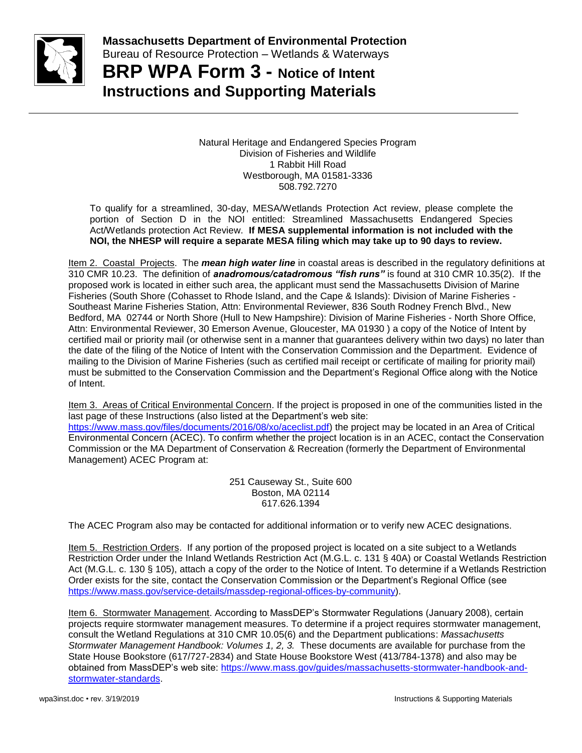

**BRP WPA Form 3 - Notice of Intent Instructions and Supporting Materials**

> Natural Heritage and Endangered Species Program Division of Fisheries and Wildlife 1 Rabbit Hill Road Westborough, MA 01581-3336 508.792.7270

To qualify for a streamlined, 30-day, MESA/Wetlands Protection Act review, please complete the portion of Section D in the NOI entitled: Streamlined Massachusetts Endangered Species Act/Wetlands protection Act Review. **If MESA supplemental information is not included with the NOI, the NHESP will require a separate MESA filing which may take up to 90 days to review.**

Item 2. Coastal Projects. The *mean high water line* in coastal areas is described in the regulatory definitions at 310 CMR 10.23. The definition of *anadromous/catadromous "fish runs"* is found at 310 CMR 10.35(2). If the proposed work is located in either such area, the applicant must send the Massachusetts Division of Marine Fisheries (South Shore (Cohasset to Rhode Island, and the Cape & Islands): Division of Marine Fisheries - Southeast Marine Fisheries Station, Attn: Environmental Reviewer, 836 South Rodney French Blvd., New Bedford, MA 02744 or North Shore (Hull to New Hampshire): Division of Marine Fisheries - North Shore Office, Attn: Environmental Reviewer, 30 Emerson Avenue, Gloucester, MA 01930 ) a copy of the Notice of Intent by certified mail or priority mail (or otherwise sent in a manner that guarantees delivery within two days) no later than the date of the filing of the Notice of Intent with the Conservation Commission and the Department. Evidence of mailing to the Division of Marine Fisheries (such as certified mail receipt or certificate of mailing for priority mail) must be submitted to the Conservation Commission and the Department's Regional Office along with the Notice of Intent.

Item 3. Areas of Critical Environmental Concern. If the project is proposed in one of the communities listed in the last page of these Instructions (also listed at the Department's web site: [https://www.mass.gov/files/documents/2016/08/xo/aceclist.pdf\)](https://www.mass.gov/files/documents/2016/08/xo/aceclist.pdf) the project may be located in an Area of Critical Environmental Concern (ACEC). To confirm whether the project location is in an ACEC, contact the Conservation Commission or the MA Department of Conservation & Recreation (formerly the Department of Environmental Management) ACEC Program at:

> 251 Causeway St., Suite 600 Boston, MA 02114 617.626.1394

The ACEC Program also may be contacted for additional information or to verify new ACEC designations.

Item 5. Restriction Orders. If any portion of the proposed project is located on a site subject to a Wetlands Restriction Order under the Inland Wetlands Restriction Act (M.G.L. c. 131 § 40A) or Coastal Wetlands Restriction Act (M.G.L. c. 130 § 105), attach a copy of the order to the Notice of Intent. To determine if a Wetlands Restriction Order exists for the site, contact the Conservation Commission or the Department's Regional Office (see [https://www.mass.gov/service-details/massdep-regional-offices-by-community\)](https://www.mass.gov/service-details/massdep-regional-offices-by-community).

Item 6. Stormwater Management. According to MassDEP's Stormwater Regulations (January 2008), certain projects require stormwater management measures. To determine if a project requires stormwater management, consult the Wetland Regulations at 310 CMR 10.05(6) and the Department publications: *Massachusetts Stormwater Management Handbook: Volumes 1, 2, 3.* These documents are available for purchase from the State House Bookstore (617/727-2834) and State House Bookstore West (413/784-1378) and also may be obtained from MassDEP's web site: [https://www.mass.gov/guides/massachusetts-stormwater-handbook-and](https://www.mass.gov/guides/massachusetts-stormwater-handbook-and-stormwater-standards)[stormwater-standards.](https://www.mass.gov/guides/massachusetts-stormwater-handbook-and-stormwater-standards)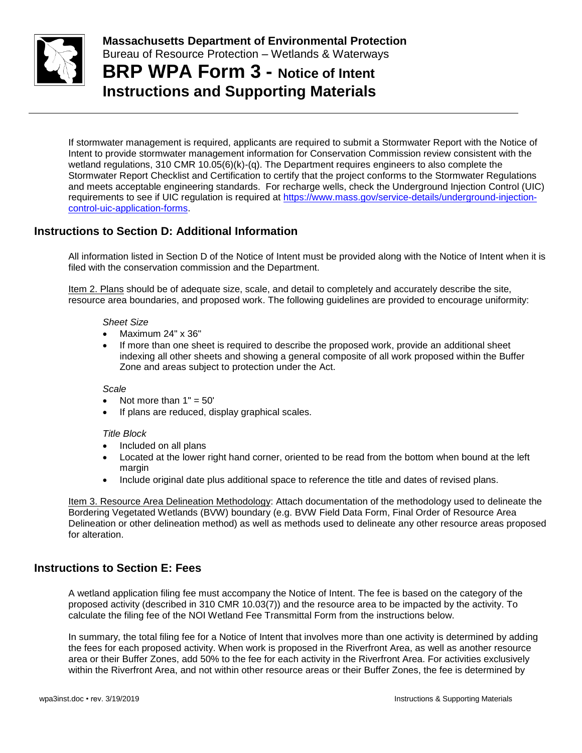

**BRP WPA Form 3 - Notice of Intent Instructions and Supporting Materials**

If stormwater management is required, applicants are required to submit a Stormwater Report with the Notice of Intent to provide stormwater management information for Conservation Commission review consistent with the wetland regulations, 310 CMR 10.05(6)(k)-(q). The Department requires engineers to also complete the Stormwater Report Checklist and Certification to certify that the project conforms to the Stormwater Regulations and meets acceptable engineering standards. For recharge wells, check the Underground Injection Control (UIC) requirements to see if UIC regulation is required at [https://www.mass.gov/service-details/underground-injection](https://www.mass.gov/service-details/underground-injection-control-uic-application-forms)[control-uic-application-forms.](https://www.mass.gov/service-details/underground-injection-control-uic-application-forms)

# **Instructions to Section D: Additional Information**

All information listed in Section D of the Notice of Intent must be provided along with the Notice of Intent when it is filed with the conservation commission and the Department.

Item 2. Plans should be of adequate size, scale, and detail to completely and accurately describe the site, resource area boundaries, and proposed work. The following guidelines are provided to encourage uniformity:

### *Sheet Size*

- Maximum 24" x 36"
- If more than one sheet is required to describe the proposed work, provide an additional sheet indexing all other sheets and showing a general composite of all work proposed within the Buffer Zone and areas subject to protection under the Act.

### *Scale*

- Not more than  $1" = 50'$
- If plans are reduced, display graphical scales.

### *Title Block*

- Included on all plans
- Located at the lower right hand corner, oriented to be read from the bottom when bound at the left margin
- Include original date plus additional space to reference the title and dates of revised plans.

Item 3. Resource Area Delineation Methodology: Attach documentation of the methodology used to delineate the Bordering Vegetated Wetlands (BVW) boundary (e.g. BVW Field Data Form, Final Order of Resource Area Delineation or other delineation method) as well as methods used to delineate any other resource areas proposed for alteration.

### **Instructions to Section E: Fees**

A wetland application filing fee must accompany the Notice of Intent. The fee is based on the category of the proposed activity (described in 310 CMR 10.03(7)) and the resource area to be impacted by the activity. To calculate the filing fee of the NOI Wetland Fee Transmittal Form from the instructions below.

In summary, the total filing fee for a Notice of Intent that involves more than one activity is determined by adding the fees for each proposed activity. When work is proposed in the Riverfront Area, as well as another resource area or their Buffer Zones, add 50% to the fee for each activity in the Riverfront Area. For activities exclusively within the Riverfront Area, and not within other resource areas or their Buffer Zones, the fee is determined by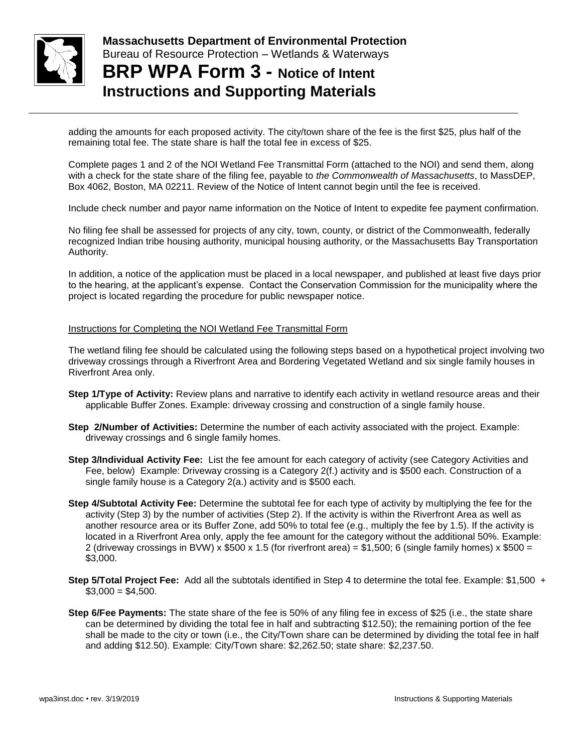

**Massachusetts Department of Environmental Protection**  Bureau of Resource Protection – Wetlands & Waterways **BRP WPA Form 3 - Notice of Intent**

# **Instructions and Supporting Materials**

adding the amounts for each proposed activity. The city/town share of the fee is the first \$25, plus half of the remaining total fee. The state share is half the total fee in excess of \$25.

Complete pages 1 and 2 of the NOI Wetland Fee Transmittal Form (attached to the NOI) and send them, along with a check for the state share of the filing fee, payable to *the Commonwealth of Massachusetts*, to MassDEP, Box 4062, Boston, MA 02211. Review of the Notice of Intent cannot begin until the fee is received.

Include check number and payor name information on the Notice of Intent to expedite fee payment confirmation.

No filing fee shall be assessed for projects of any city, town, county, or district of the Commonwealth, federally recognized Indian tribe housing authority, municipal housing authority, or the Massachusetts Bay Transportation Authority.

In addition, a notice of the application must be placed in a local newspaper, and published at least five days prior to the hearing, at the applicant's expense. Contact the Conservation Commission for the municipality where the project is located regarding the procedure for public newspaper notice.

### Instructions for Completing the NOI Wetland Fee Transmittal Form

The wetland filing fee should be calculated using the following steps based on a hypothetical project involving two driveway crossings through a Riverfront Area and Bordering Vegetated Wetland and six single family houses in Riverfront Area only.

- **Step 1/Type of Activity:** Review plans and narrative to identify each activity in wetland resource areas and their applicable Buffer Zones. Example: driveway crossing and construction of a single family house.
- **Step 2/Number of Activities:** Determine the number of each activity associated with the project. Example: driveway crossings and 6 single family homes.
- **Step 3/Individual Activity Fee:** List the fee amount for each category of activity (see Category Activities and Fee, below) Example: Driveway crossing is a Category 2(f.) activity and is \$500 each. Construction of a single family house is a Category 2(a.) activity and is \$500 each.
- **Step 4/Subtotal Activity Fee:** Determine the subtotal fee for each type of activity by multiplying the fee for the activity (Step 3) by the number of activities (Step 2). If the activity is within the Riverfront Area as well as another resource area or its Buffer Zone, add 50% to total fee (e.g., multiply the fee by 1.5). If the activity is located in a Riverfront Area only, apply the fee amount for the category without the additional 50%. Example: 2 (driveway crossings in BVW) x  $$500 \times 1.5$  (for riverfront area) = \$1,500; 6 (single family homes) x  $$500 =$ \$3,000.
- **Step 5/Total Project Fee:** Add all the subtotals identified in Step 4 to determine the total fee. Example: \$1,500 +  $$3,000 = $4,500.$
- **Step 6/Fee Payments:** The state share of the fee is 50% of any filing fee in excess of \$25 (i.e., the state share can be determined by dividing the total fee in half and subtracting \$12.50); the remaining portion of the fee shall be made to the city or town (i.e., the City/Town share can be determined by dividing the total fee in half and adding \$12.50). Example: City/Town share: \$2,262.50; state share: \$2,237.50.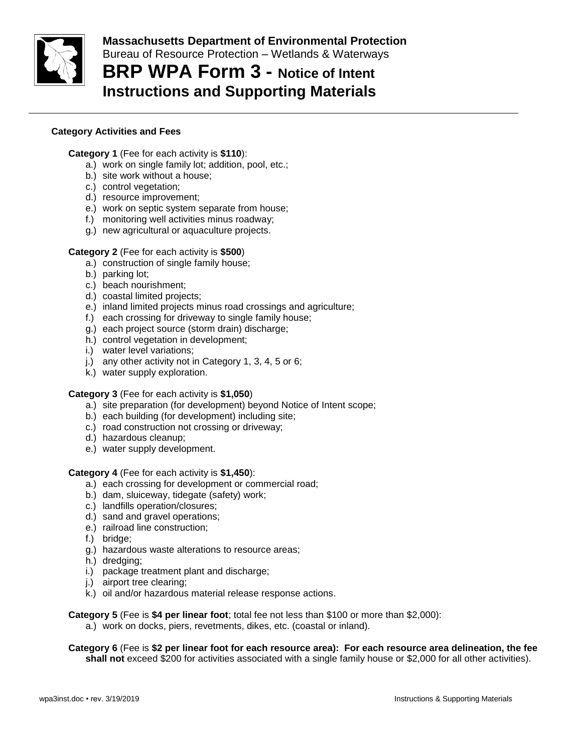

# **BRP WPA Form 3 - Notice of Intent Instructions and Supporting Materials**

### **Category Activities and Fees**

### **Category 1** (Fee for each activity is **\$110**):

- a.) work on single family lot; addition, pool, etc.;
- b.) site work without a house;
- c.) control vegetation;
- d.) resource improvement;
- e.) work on septic system separate from house;
- f.) monitoring well activities minus roadway;
- g.) new agricultural or aquaculture projects.

### **Category 2** (Fee for each activity is **\$500**)

- a.) construction of single family house;
- b.) parking lot;
- c.) beach nourishment;
- d.) coastal limited projects;
- e.) inland limited projects minus road crossings and agriculture;
- f.) each crossing for driveway to single family house;
- g.) each project source (storm drain) discharge;
- h.) control vegetation in development;
- i.) water level variations;
- j.) any other activity not in Category 1, 3, 4, 5 or 6;
- k.) water supply exploration.

### **Category 3** (Fee for each activity is **\$1,050**)

- a.) site preparation (for development) beyond Notice of Intent scope;
- b.) each building (for development) including site;
- c.) road construction not crossing or driveway;
- d.) hazardous cleanup;
- e.) water supply development.

### **Category 4** (Fee for each activity is **\$1,450**):

- a.) each crossing for development or commercial road;
- b.) dam, sluiceway, tidegate (safety) work;
- c.) landfills operation/closures;
- d.) sand and gravel operations;
- e.) railroad line construction;
- f.) bridge;
- g.) hazardous waste alterations to resource areas;
- h.) dredging;
- i.) package treatment plant and discharge;
- j.) airport tree clearing;
- k.) oil and/or hazardous material release response actions.

**Category 5** (Fee is **\$4 per linear foot**; total fee not less than \$100 or more than \$2,000):

a.) work on docks, piers, revetments, dikes, etc. (coastal or inland).

**Category 6** (Fee is **\$2 per linear foot for each resource area): For each resource area delineation, the fee shall not** exceed \$200 for activities associated with a single family house or \$2,000 for all other activities).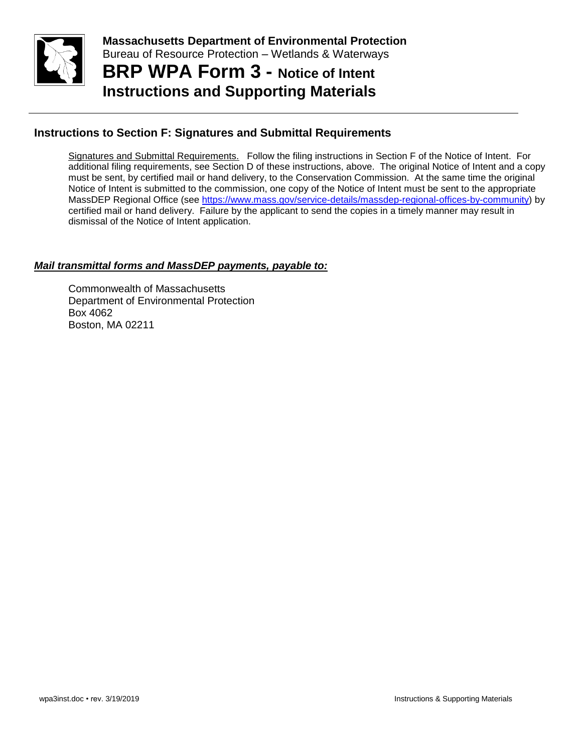

**Massachusetts Department of Environmental Protection**  Bureau of Resource Protection – Wetlands & Waterways **BRP WPA Form 3 - Notice of Intent**

**Instructions and Supporting Materials**

# **Instructions to Section F: Signatures and Submittal Requirements**

Signatures and Submittal Requirements. Follow the filing instructions in Section F of the Notice of Intent. For additional filing requirements, see Section D of these instructions, above. The original Notice of Intent and a copy must be sent, by certified mail or hand delivery, to the Conservation Commission. At the same time the original Notice of Intent is submitted to the commission, one copy of the Notice of Intent must be sent to the appropriate MassDEP Regional Office (see [https://www.mass.gov/service-details/massdep-regional-offices-by-community\)](https://www.mass.gov/service-details/massdep-regional-offices-by-community) by certified mail or hand delivery. Failure by the applicant to send the copies in a timely manner may result in dismissal of the Notice of Intent application.

## *Mail transmittal forms and MassDEP payments, payable to:*

Commonwealth of Massachusetts Department of Environmental Protection Box 4062 Boston, MA 02211